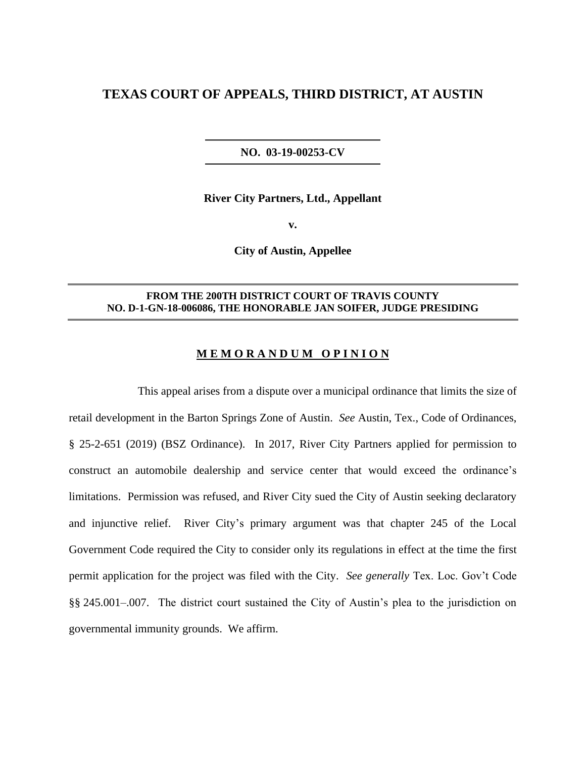# **TEXAS COURT OF APPEALS, THIRD DISTRICT, AT AUSTIN**

**NO. 03-19-00253-CV**

**River City Partners, Ltd., Appellant**

**v.**

**City of Austin, Appellee**

### **FROM THE 200TH DISTRICT COURT OF TRAVIS COUNTY NO. D-1-GN-18-006086, THE HONORABLE JAN SOIFER, JUDGE PRESIDING**

### **M E M O R A N D U M O P I N I O N**

This appeal arises from a dispute over a municipal ordinance that limits the size of retail development in the Barton Springs Zone of Austin. *See* Austin, Tex., Code of Ordinances, § 25-2-651 (2019) (BSZ Ordinance). In 2017, River City Partners applied for permission to construct an automobile dealership and service center that would exceed the ordinance's limitations. Permission was refused, and River City sued the City of Austin seeking declaratory and injunctive relief. River City's primary argument was that chapter 245 of the Local Government Code required the City to consider only its regulations in effect at the time the first permit application for the project was filed with the City. *See generally* Tex. Loc. Gov't Code §§ 245.001–.007. The district court sustained the City of Austin's plea to the jurisdiction on governmental immunity grounds. We affirm.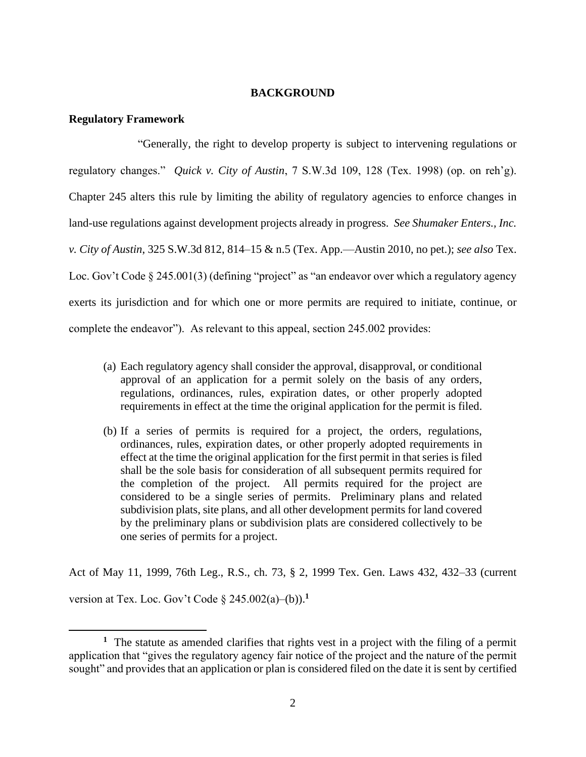### **BACKGROUND**

#### **Regulatory Framework**

"Generally, the right to develop property is subject to intervening regulations or regulatory changes." *Quick v. City of Austin*, 7 S.W.3d 109, 128 (Tex. 1998) (op. on reh'g). Chapter 245 alters this rule by limiting the ability of regulatory agencies to enforce changes in land-use regulations against development projects already in progress. *See Shumaker Enters., Inc. v. City of Austin*, 325 S.W.3d 812, 814–15 & n.5 (Tex. App.—Austin 2010, no pet.); *see also* Tex. Loc. Gov't Code § 245.001(3) (defining "project" as "an endeavor over which a regulatory agency exerts its jurisdiction and for which one or more permits are required to initiate, continue, or complete the endeavor"). As relevant to this appeal, section 245.002 provides:

- (a) Each regulatory agency shall consider the approval, disapproval, or conditional approval of an application for a permit solely on the basis of any orders, regulations, ordinances, rules, expiration dates, or other properly adopted requirements in effect at the time the original application for the permit is filed.
- (b) If a series of permits is required for a project, the orders, regulations, ordinances, rules, expiration dates, or other properly adopted requirements in effect at the time the original application for the first permit in that series is filed shall be the sole basis for consideration of all subsequent permits required for the completion of the project. All permits required for the project are considered to be a single series of permits. Preliminary plans and related subdivision plats, site plans, and all other development permits for land covered by the preliminary plans or subdivision plats are considered collectively to be one series of permits for a project.

Act of May 11, 1999, 76th Leg., R.S., ch. 73, § 2, 1999 Tex. Gen. Laws 432, 432–33 (current version at Tex. Loc. Gov't Code  $\S$  245.002(a)–(b)).<sup>1</sup>

**<sup>1</sup>** The statute as amended clarifies that rights vest in a project with the filing of a permit application that "gives the regulatory agency fair notice of the project and the nature of the permit sought" and provides that an application or plan is considered filed on the date it is sent by certified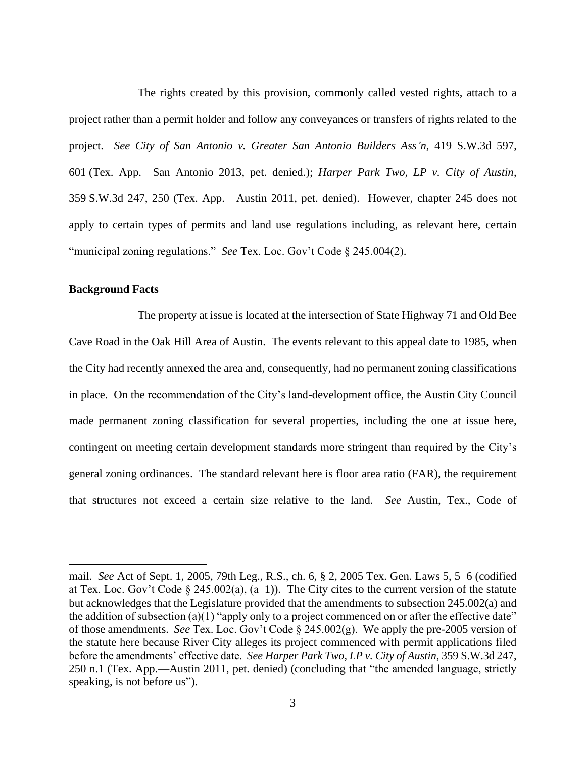The rights created by this provision, commonly called vested rights, attach to a project rather than a permit holder and follow any conveyances or transfers of rights related to the project. *See City of San Antonio v. Greater San Antonio Builders Ass'n*, 419 S.W.3d 597, 601 (Tex. App.—San Antonio 2013, pet. denied.); *Harper Park Two, LP v. City of Austin*, 359 S.W.3d 247, 250 (Tex. App.—Austin 2011, pet. denied). However, chapter 245 does not apply to certain types of permits and land use regulations including, as relevant here, certain "municipal zoning regulations." *See* Tex. Loc. Gov't Code § 245.004(2).

### **Background Facts**

The property at issue is located at the intersection of State Highway 71 and Old Bee Cave Road in the Oak Hill Area of Austin. The events relevant to this appeal date to 1985, when the City had recently annexed the area and, consequently, had no permanent zoning classifications in place. On the recommendation of the City's land-development office, the Austin City Council made permanent zoning classification for several properties, including the one at issue here, contingent on meeting certain development standards more stringent than required by the City's general zoning ordinances. The standard relevant here is floor area ratio (FAR), the requirement that structures not exceed a certain size relative to the land. *See* Austin, Tex., Code of

mail. *See* Act of Sept. 1, 2005, 79th Leg., R.S., ch. 6, § 2, 2005 Tex. Gen. Laws 5, 5–6 (codified at Tex. Loc. Gov't Code § 245.002(a),  $(a-1)$ ). The City cites to the current version of the statute but acknowledges that the Legislature provided that the amendments to subsection 245.002(a) and the addition of subsection (a)(1) "apply only to a project commenced on or after the effective date" of those amendments. *See* Tex. Loc. Gov't Code § 245.002(g). We apply the pre-2005 version of the statute here because River City alleges its project commenced with permit applications filed before the amendments' effective date. *See Harper Park Two, LP v. City of Austin*, 359 S.W.3d 247, 250 n.1 (Tex. App.—Austin 2011, pet. denied) (concluding that "the amended language, strictly speaking, is not before us").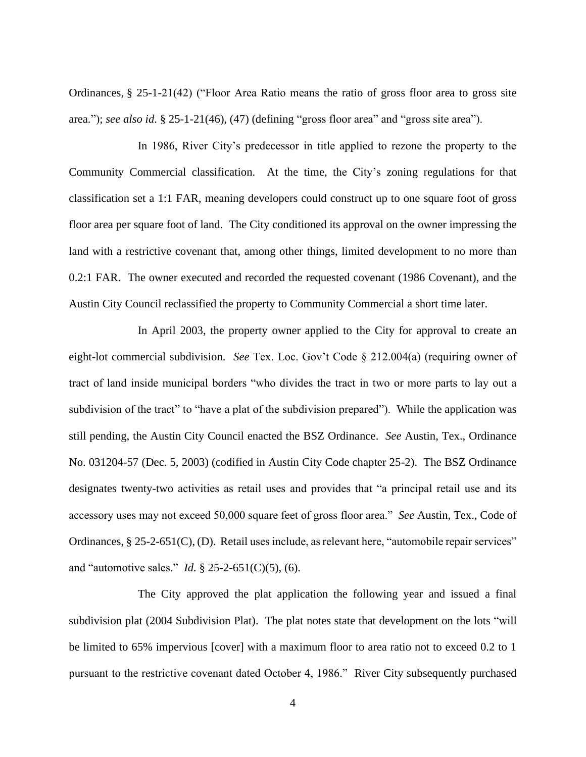Ordinances, § 25-1-21(42) ("Floor Area Ratio means the ratio of gross floor area to gross site area."); *see also id*. § 25-1-21(46), (47) (defining "gross floor area" and "gross site area").

In 1986, River City's predecessor in title applied to rezone the property to the Community Commercial classification. At the time, the City's zoning regulations for that classification set a 1:1 FAR, meaning developers could construct up to one square foot of gross floor area per square foot of land. The City conditioned its approval on the owner impressing the land with a restrictive covenant that, among other things, limited development to no more than 0.2:1 FAR. The owner executed and recorded the requested covenant (1986 Covenant), and the Austin City Council reclassified the property to Community Commercial a short time later.

In April 2003, the property owner applied to the City for approval to create an eight-lot commercial subdivision. *See* Tex. Loc. Gov't Code § 212.004(a) (requiring owner of tract of land inside municipal borders "who divides the tract in two or more parts to lay out a subdivision of the tract" to "have a plat of the subdivision prepared"). While the application was still pending, the Austin City Council enacted the BSZ Ordinance. *See* Austin, Tex., Ordinance No. 031204-57 (Dec. 5, 2003) (codified in Austin City Code chapter 25-2). The BSZ Ordinance designates twenty-two activities as retail uses and provides that "a principal retail use and its accessory uses may not exceed 50,000 square feet of gross floor area." *See* Austin, Tex., Code of Ordinances, § 25-2-651(C), (D). Retail uses include, as relevant here, "automobile repair services" and "automotive sales." *Id.* § 25-2-651(C)(5), (6).

The City approved the plat application the following year and issued a final subdivision plat (2004 Subdivision Plat). The plat notes state that development on the lots "will be limited to 65% impervious [cover] with a maximum floor to area ratio not to exceed 0.2 to 1 pursuant to the restrictive covenant dated October 4, 1986." River City subsequently purchased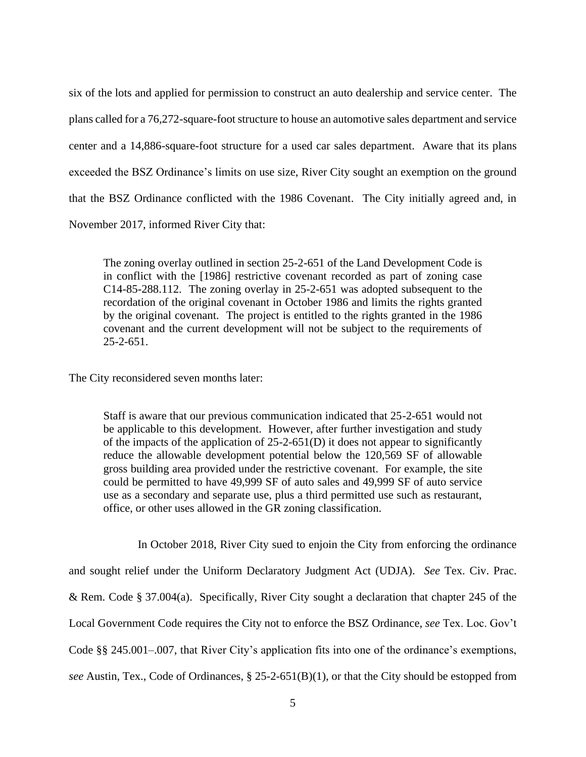six of the lots and applied for permission to construct an auto dealership and service center. The plans called for a 76,272-square-foot structure to house an automotive sales department and service center and a 14,886-square-foot structure for a used car sales department. Aware that its plans exceeded the BSZ Ordinance's limits on use size, River City sought an exemption on the ground that the BSZ Ordinance conflicted with the 1986 Covenant. The City initially agreed and, in November 2017, informed River City that:

The zoning overlay outlined in section 25-2-651 of the Land Development Code is in conflict with the [1986] restrictive covenant recorded as part of zoning case C14-85-288.112. The zoning overlay in 25-2-651 was adopted subsequent to the recordation of the original covenant in October 1986 and limits the rights granted by the original covenant. The project is entitled to the rights granted in the 1986 covenant and the current development will not be subject to the requirements of  $25 - 2 - 651$ .

The City reconsidered seven months later:

Staff is aware that our previous communication indicated that 25-2-651 would not be applicable to this development. However, after further investigation and study of the impacts of the application of 25-2-651(D) it does not appear to significantly reduce the allowable development potential below the 120,569 SF of allowable gross building area provided under the restrictive covenant. For example, the site could be permitted to have 49,999 SF of auto sales and 49,999 SF of auto service use as a secondary and separate use, plus a third permitted use such as restaurant, office, or other uses allowed in the GR zoning classification.

In October 2018, River City sued to enjoin the City from enforcing the ordinance and sought relief under the Uniform Declaratory Judgment Act (UDJA). *See* Tex. Civ. Prac. & Rem. Code § 37.004(a). Specifically, River City sought a declaration that chapter 245 of the Local Government Code requires the City not to enforce the BSZ Ordinance, *see* Tex. Loc. Gov't Code §§ 245.001–.007, that River City's application fits into one of the ordinance's exemptions, *see* Austin, Tex., Code of Ordinances, § 25-2-651(B)(1), or that the City should be estopped from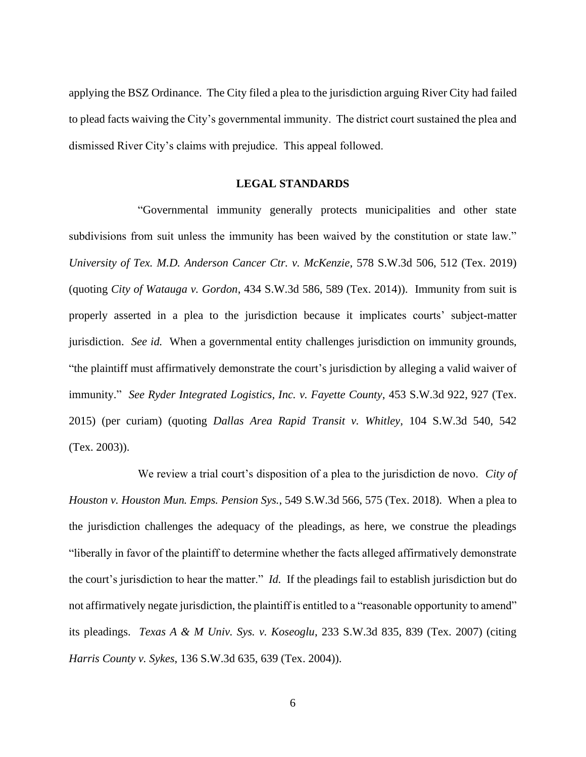applying the BSZ Ordinance. The City filed a plea to the jurisdiction arguing River City had failed to plead facts waiving the City's governmental immunity. The district court sustained the plea and dismissed River City's claims with prejudice. This appeal followed.

#### **LEGAL STANDARDS**

"Governmental immunity generally protects municipalities and other state subdivisions from suit unless the immunity has been waived by the constitution or state law." *University of Tex. M.D. Anderson Cancer Ctr. v. McKenzie*, 578 S.W.3d 506, 512 (Tex. 2019) (quoting *City of Watauga v. Gordon*, 434 S.W.3d 586, 589 (Tex. 2014)). Immunity from suit is properly asserted in a plea to the jurisdiction because it implicates courts' subject-matter jurisdiction. *See id.* When a governmental entity challenges jurisdiction on immunity grounds, "the plaintiff must affirmatively demonstrate the court's jurisdiction by alleging a valid waiver of immunity." *See Ryder Integrated Logistics, Inc. v. Fayette County*, 453 S.W.3d 922, 927 (Tex. 2015) (per curiam) (quoting *Dallas Area Rapid Transit v. Whitley*, 104 S.W.3d 540, 542 (Tex. 2003)).

We review a trial court's disposition of a plea to the jurisdiction de novo. *City of Houston v. Houston Mun. Emps. Pension Sys.*, 549 S.W.3d 566, 575 (Tex. 2018). When a plea to the jurisdiction challenges the adequacy of the pleadings, as here, we construe the pleadings "liberally in favor of the plaintiff to determine whether the facts alleged affirmatively demonstrate the court's jurisdiction to hear the matter." *Id.* If the pleadings fail to establish jurisdiction but do not affirmatively negate jurisdiction, the plaintiff is entitled to a "reasonable opportunity to amend" its pleadings. *Texas A & M Univ. Sys. v. Koseoglu*, 233 S.W.3d 835, 839 (Tex. 2007) (citing *Harris County v. Sykes*, 136 S.W.3d 635, 639 (Tex. 2004)).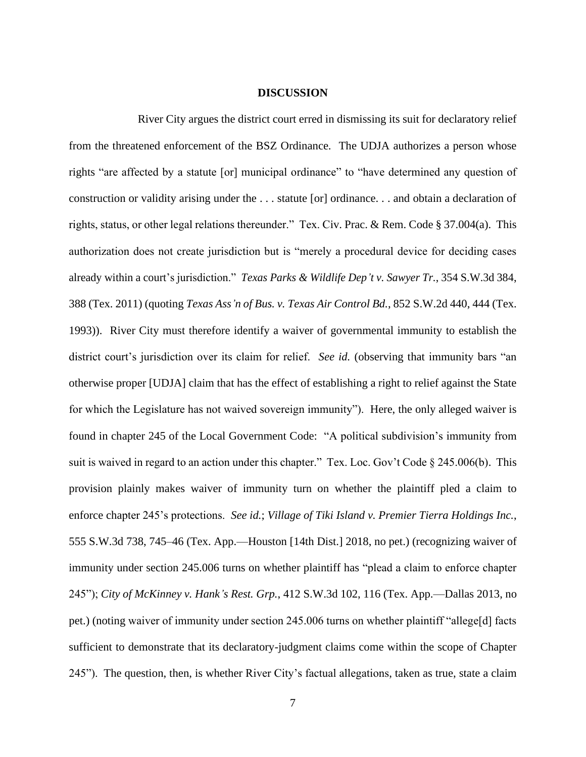#### **DISCUSSION**

River City argues the district court erred in dismissing its suit for declaratory relief from the threatened enforcement of the BSZ Ordinance. The UDJA authorizes a person whose rights "are affected by a statute [or] municipal ordinance" to "have determined any question of construction or validity arising under the . . . statute [or] ordinance. . . and obtain a declaration of rights, status, or other legal relations thereunder." Tex. Civ. Prac. & Rem. Code § 37.004(a). This authorization does not create jurisdiction but is "merely a procedural device for deciding cases already within a court's jurisdiction." *Texas Parks & Wildlife Dep't v. Sawyer Tr.*, 354 S.W.3d 384, 388 (Tex. 2011) (quoting *Texas Ass'n of Bus. v. Texas Air Control Bd.*, 852 S.W.2d 440, 444 (Tex. 1993)). River City must therefore identify a waiver of governmental immunity to establish the district court's jurisdiction over its claim for relief. *See id.* (observing that immunity bars "an otherwise proper [UDJA] claim that has the effect of establishing a right to relief against the State for which the Legislature has not waived sovereign immunity"). Here, the only alleged waiver is found in chapter 245 of the Local Government Code: "A political subdivision's immunity from suit is waived in regard to an action under this chapter." Tex. Loc. Gov't Code § 245.006(b). This provision plainly makes waiver of immunity turn on whether the plaintiff pled a claim to enforce chapter 245's protections. *See id.*; *Village of Tiki Island v. Premier Tierra Holdings Inc.*, 555 S.W.3d 738, 745–46 (Tex. App.—Houston [14th Dist.] 2018, no pet.) (recognizing waiver of immunity under section 245.006 turns on whether plaintiff has "plead a claim to enforce chapter 245"); *City of McKinney v. Hank's Rest. Grp.*, 412 S.W.3d 102, 116 (Tex. App.—Dallas 2013, no pet.) (noting waiver of immunity under section 245.006 turns on whether plaintiff "allege[d] facts sufficient to demonstrate that its declaratory-judgment claims come within the scope of Chapter 245"). The question, then, is whether River City's factual allegations, taken as true, state a claim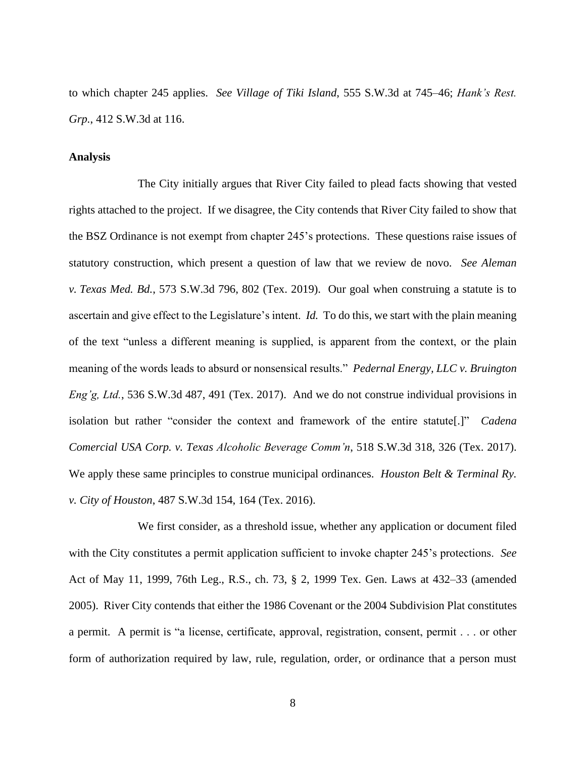to which chapter 245 applies. *See Village of Tiki Island*, 555 S.W.3d at 745–46; *Hank's Rest. Grp.*, 412 S.W.3d at 116.

### **Analysis**

The City initially argues that River City failed to plead facts showing that vested rights attached to the project. If we disagree, the City contends that River City failed to show that the BSZ Ordinance is not exempt from chapter 245's protections. These questions raise issues of statutory construction, which present a question of law that we review de novo. *See Aleman v. Texas Med. Bd.*, 573 S.W.3d 796, 802 (Tex. 2019). Our goal when construing a statute is to ascertain and give effect to the Legislature's intent. *Id.* To do this, we start with the plain meaning of the text "unless a different meaning is supplied, is apparent from the context, or the plain meaning of the words leads to absurd or nonsensical results." *Pedernal Energy, LLC v. Bruington Eng'g, Ltd.*, 536 S.W.3d 487, 491 (Tex. 2017). And we do not construe individual provisions in isolation but rather "consider the context and framework of the entire statute[.]" *Cadena Comercial USA Corp. v. Texas Alcoholic Beverage Comm'n*, 518 S.W.3d 318, 326 (Tex. 2017). We apply these same principles to construe municipal ordinances. *Houston Belt & Terminal Ry. v. City of Houston*, 487 S.W.3d 154, 164 (Tex. 2016).

We first consider, as a threshold issue, whether any application or document filed with the City constitutes a permit application sufficient to invoke chapter 245's protections. *See*  Act of May 11, 1999, 76th Leg., R.S., ch. 73, § 2, 1999 Tex. Gen. Laws at 432–33 (amended 2005). River City contends that either the 1986 Covenant or the 2004 Subdivision Plat constitutes a permit. A permit is "a license, certificate, approval, registration, consent, permit . . . or other form of authorization required by law, rule, regulation, order, or ordinance that a person must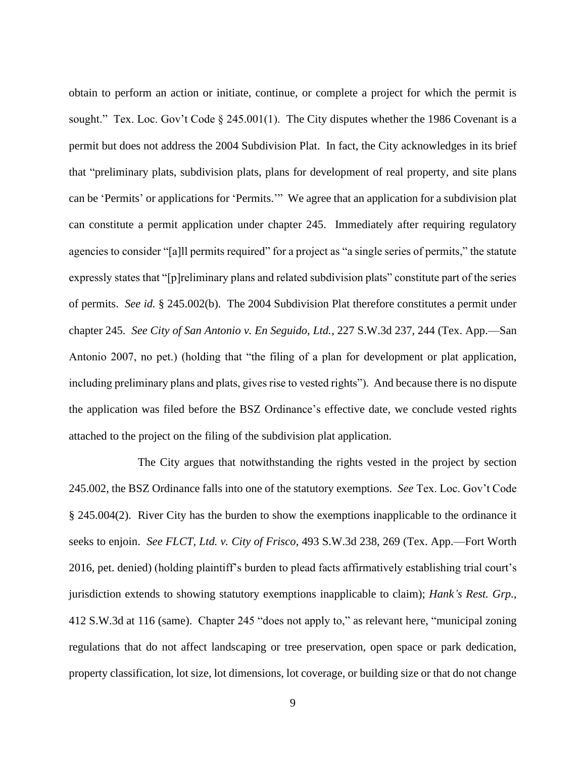obtain to perform an action or initiate, continue, or complete a project for which the permit is sought." Tex. Loc. Gov't Code § 245.001(1). The City disputes whether the 1986 Covenant is a permit but does not address the 2004 Subdivision Plat. In fact, the City acknowledges in its brief that "preliminary plats, subdivision plats, plans for development of real property, and site plans can be 'Permits' or applications for 'Permits.'" We agree that an application for a subdivision plat can constitute a permit application under chapter 245. Immediately after requiring regulatory agencies to consider "[a]ll permits required" for a project as "a single series of permits," the statute expressly states that "[p]reliminary plans and related subdivision plats" constitute part of the series of permits. *See id.* § 245.002(b). The 2004 Subdivision Plat therefore constitutes a permit under chapter 245. *See City of San Antonio v. En Seguido, Ltd.*, 227 S.W.3d 237, 244 (Tex. App.—San Antonio 2007, no pet.) (holding that "the filing of a plan for development or plat application, including preliminary plans and plats, gives rise to vested rights"). And because there is no dispute the application was filed before the BSZ Ordinance's effective date, we conclude vested rights attached to the project on the filing of the subdivision plat application.

The City argues that notwithstanding the rights vested in the project by section 245.002, the BSZ Ordinance falls into one of the statutory exemptions. *See* Tex. Loc. Gov't Code § 245.004(2). River City has the burden to show the exemptions inapplicable to the ordinance it seeks to enjoin. *See FLCT, Ltd. v. City of Frisco*, 493 S.W.3d 238, 269 (Tex. App.—Fort Worth 2016, pet. denied) (holding plaintiff's burden to plead facts affirmatively establishing trial court's jurisdiction extends to showing statutory exemptions inapplicable to claim); *Hank's Rest. Grp.*, 412 S.W.3d at 116 (same). Chapter 245 "does not apply to," as relevant here, "municipal zoning regulations that do not affect landscaping or tree preservation, open space or park dedication, property classification, lot size, lot dimensions, lot coverage, or building size or that do not change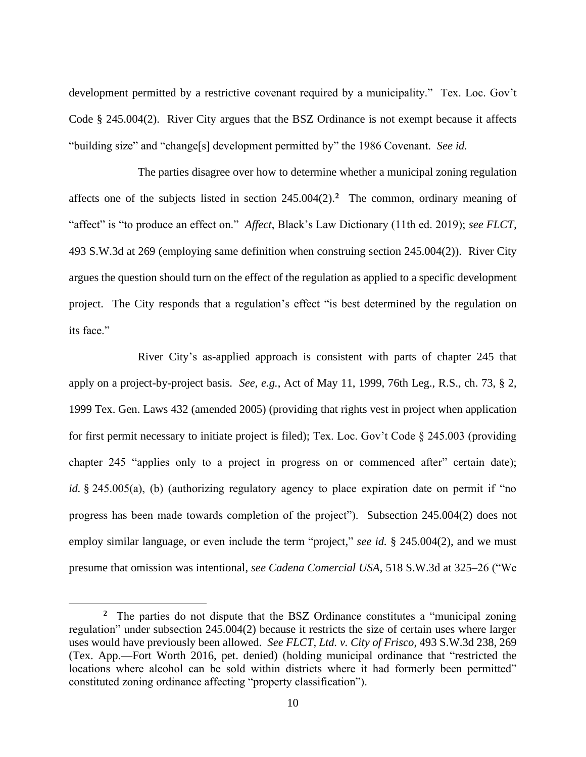development permitted by a restrictive covenant required by a municipality." Tex. Loc. Gov't Code § 245.004(2). River City argues that the BSZ Ordinance is not exempt because it affects "building size" and "change[s] development permitted by" the 1986 Covenant. *See id.*

The parties disagree over how to determine whether a municipal zoning regulation affects one of the subjects listed in section 245.004(2).**<sup>2</sup>** The common, ordinary meaning of "affect" is "to produce an effect on." *Affect*, Black's Law Dictionary (11th ed. 2019); *see FLCT*, 493 S.W.3d at 269 (employing same definition when construing section 245.004(2)). River City argues the question should turn on the effect of the regulation as applied to a specific development project. The City responds that a regulation's effect "is best determined by the regulation on its face."

River City's as-applied approach is consistent with parts of chapter 245 that apply on a project-by-project basis. *See, e.g.*, Act of May 11, 1999, 76th Leg., R.S., ch. 73, § 2, 1999 Tex. Gen. Laws 432 (amended 2005) (providing that rights vest in project when application for first permit necessary to initiate project is filed); Tex. Loc. Gov't Code § 245.003 (providing chapter 245 "applies only to a project in progress on or commenced after" certain date); *id.* § 245.005(a), (b) (authorizing regulatory agency to place expiration date on permit if "no progress has been made towards completion of the project"). Subsection 245.004(2) does not employ similar language, or even include the term "project," *see id.* § 245.004(2), and we must presume that omission was intentional, *see Cadena Comercial USA*, 518 S.W.3d at 325–26 ("We

**<sup>2</sup>** The parties do not dispute that the BSZ Ordinance constitutes a "municipal zoning regulation" under subsection 245.004(2) because it restricts the size of certain uses where larger uses would have previously been allowed. *See FLCT, Ltd. v. City of Frisco*, 493 S.W.3d 238, 269 (Tex. App.—Fort Worth 2016, pet. denied) (holding municipal ordinance that "restricted the locations where alcohol can be sold within districts where it had formerly been permitted" constituted zoning ordinance affecting "property classification").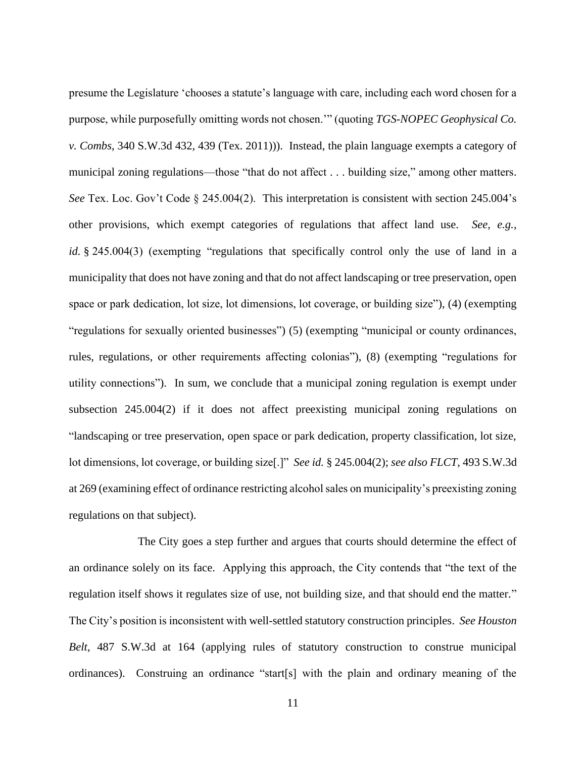presume the Legislature 'chooses a statute's language with care, including each word chosen for a purpose, while purposefully omitting words not chosen.'" (quoting *TGS-NOPEC Geophysical Co. v. Combs*, 340 S.W.3d 432, 439 (Tex. 2011))). Instead, the plain language exempts a category of municipal zoning regulations—those "that do not affect . . . building size," among other matters. *See* Tex. Loc. Gov't Code § 245.004(2). This interpretation is consistent with section 245.004's other provisions, which exempt categories of regulations that affect land use. *See, e.g.*, *id.* § 245.004(3) (exempting "regulations that specifically control only the use of land in a municipality that does not have zoning and that do not affect landscaping or tree preservation, open space or park dedication, lot size, lot dimensions, lot coverage, or building size"), (4) (exempting "regulations for sexually oriented businesses") (5) (exempting "municipal or county ordinances, rules, regulations, or other requirements affecting colonias"), (8) (exempting "regulations for utility connections"). In sum, we conclude that a municipal zoning regulation is exempt under subsection 245.004(2) if it does not affect preexisting municipal zoning regulations on "landscaping or tree preservation, open space or park dedication, property classification, lot size, lot dimensions, lot coverage, or building size[.]" *See id.* § 245.004(2); *see also FLCT*, 493 S.W.3d at 269 (examining effect of ordinance restricting alcohol sales on municipality's preexisting zoning regulations on that subject).

The City goes a step further and argues that courts should determine the effect of an ordinance solely on its face. Applying this approach, the City contends that "the text of the regulation itself shows it regulates size of use, not building size, and that should end the matter." The City's position is inconsistent with well-settled statutory construction principles. *See Houston Belt*, 487 S.W.3d at 164 (applying rules of statutory construction to construe municipal ordinances). Construing an ordinance "start[s] with the plain and ordinary meaning of the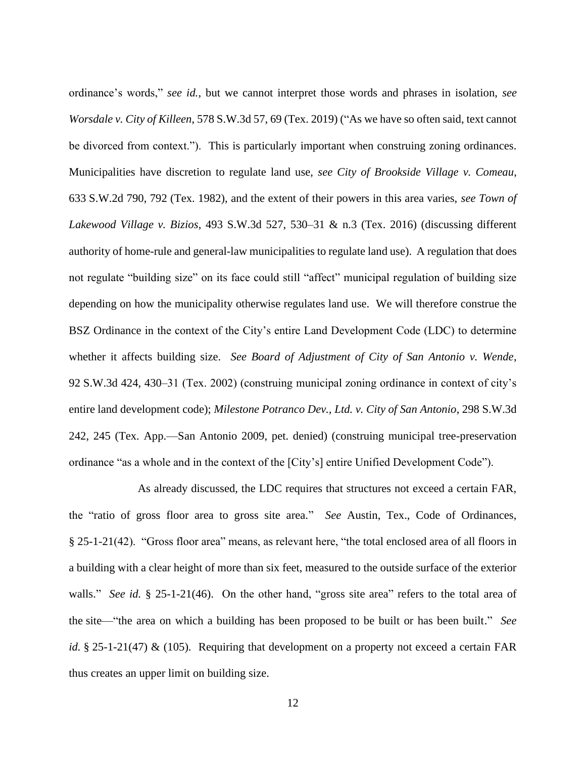ordinance's words," *see id.*, but we cannot interpret those words and phrases in isolation, *see Worsdale v. City of Killeen*, 578 S.W.3d 57, 69 (Tex. 2019) ("As we have so often said, text cannot be divorced from context."). This is particularly important when construing zoning ordinances. Municipalities have discretion to regulate land use, *see City of Brookside Village v. Comeau*, 633 S.W.2d 790, 792 (Tex. 1982), and the extent of their powers in this area varies, *see Town of Lakewood Village v. Bizios*, 493 S.W.3d 527, 530–31 & n.3 (Tex. 2016) (discussing different authority of home-rule and general-law municipalities to regulate land use). A regulation that does not regulate "building size" on its face could still "affect" municipal regulation of building size depending on how the municipality otherwise regulates land use. We will therefore construe the BSZ Ordinance in the context of the City's entire Land Development Code (LDC) to determine whether it affects building size. *See Board of Adjustment of City of San Antonio v. Wende*, 92 S.W.3d 424, 430–31 (Tex. 2002) (construing municipal zoning ordinance in context of city's entire land development code); *Milestone Potranco Dev., Ltd. v. City of San Antonio*, 298 S.W.3d 242, 245 (Tex. App.—San Antonio 2009, pet. denied) (construing municipal tree-preservation ordinance "as a whole and in the context of the [City's] entire Unified Development Code").

As already discussed, the LDC requires that structures not exceed a certain FAR, the "ratio of gross floor area to gross site area." *See* Austin, Tex., Code of Ordinances, § 25-1-21(42). "Gross floor area" means, as relevant here, "the total enclosed area of all floors in a building with a clear height of more than six feet, measured to the outside surface of the exterior walls." *See id.* § 25-1-21(46). On the other hand, "gross site area" refers to the total area of the site—"the area on which a building has been proposed to be built or has been built." *See id.* § 25-1-21(47) & (105). Requiring that development on a property not exceed a certain FAR thus creates an upper limit on building size.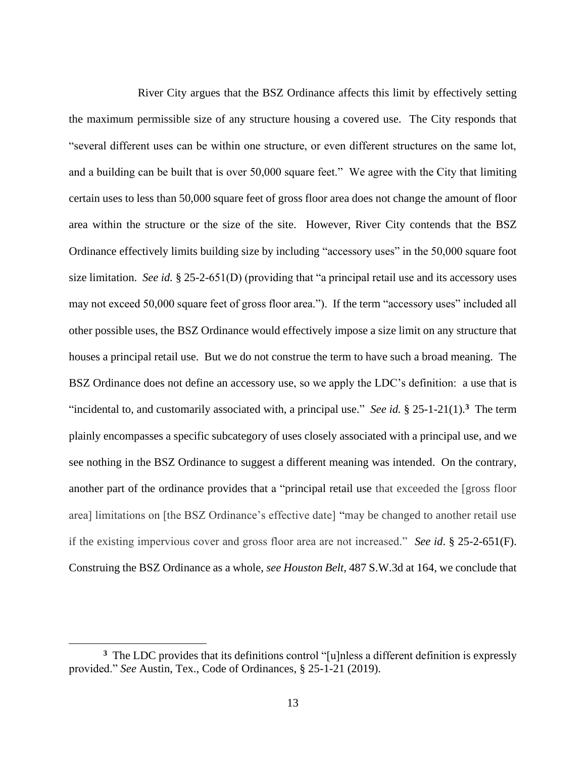River City argues that the BSZ Ordinance affects this limit by effectively setting the maximum permissible size of any structure housing a covered use. The City responds that "several different uses can be within one structure, or even different structures on the same lot, and a building can be built that is over 50,000 square feet." We agree with the City that limiting certain uses to less than 50,000 square feet of gross floor area does not change the amount of floor area within the structure or the size of the site. However, River City contends that the BSZ Ordinance effectively limits building size by including "accessory uses" in the 50,000 square foot size limitation. *See id.* § 25-2-651(D) (providing that "a principal retail use and its accessory uses may not exceed 50,000 square feet of gross floor area."). If the term "accessory uses" included all other possible uses, the BSZ Ordinance would effectively impose a size limit on any structure that houses a principal retail use. But we do not construe the term to have such a broad meaning. The BSZ Ordinance does not define an accessory use, so we apply the LDC's definition: a use that is "incidental to, and customarily associated with, a principal use." *See id.* § 25-1-21(1).**<sup>3</sup>** The term plainly encompasses a specific subcategory of uses closely associated with a principal use, and we see nothing in the BSZ Ordinance to suggest a different meaning was intended. On the contrary, another part of the ordinance provides that a "principal retail use that exceeded the [gross floor area] limitations on [the BSZ Ordinance's effective date] "may be changed to another retail use if the existing impervious cover and gross floor area are not increased." *See id*. § 25-2-651(F). Construing the BSZ Ordinance as a whole, *see Houston Belt*, 487 S.W.3d at 164, we conclude that

<sup>&</sup>lt;sup>3</sup> The LDC provides that its definitions control "[u]nless a different definition is expressly provided." *See* Austin, Tex., Code of Ordinances, § 25-1-21 (2019).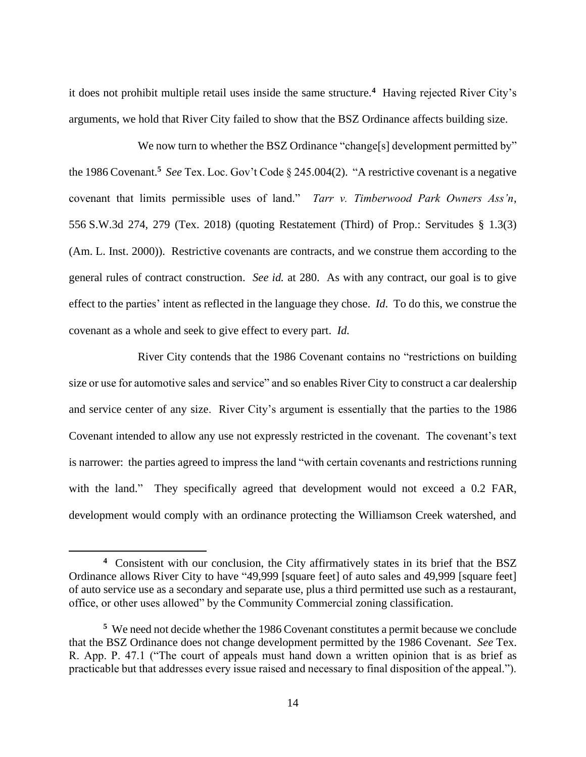it does not prohibit multiple retail uses inside the same structure.**<sup>4</sup>** Having rejected River City's arguments, we hold that River City failed to show that the BSZ Ordinance affects building size.

We now turn to whether the BSZ Ordinance "change[s] development permitted by" the 1986 Covenant.**<sup>5</sup>** *See* Tex. Loc. Gov't Code § 245.004(2). "A restrictive covenant is a negative covenant that limits permissible uses of land." *Tarr v. Timberwood Park Owners Ass'n*, 556 S.W.3d 274, 279 (Tex. 2018) (quoting Restatement (Third) of Prop.: Servitudes § 1.3(3) (Am. L. Inst. 2000)). Restrictive covenants are contracts, and we construe them according to the general rules of contract construction. *See id.* at 280. As with any contract, our goal is to give effect to the parties' intent as reflected in the language they chose. *Id*. To do this, we construe the covenant as a whole and seek to give effect to every part. *Id.*

River City contends that the 1986 Covenant contains no "restrictions on building size or use for automotive sales and service" and so enables River City to construct a car dealership and service center of any size. River City's argument is essentially that the parties to the 1986 Covenant intended to allow any use not expressly restricted in the covenant. The covenant's text is narrower: the parties agreed to impress the land "with certain covenants and restrictions running with the land." They specifically agreed that development would not exceed a 0.2 FAR, development would comply with an ordinance protecting the Williamson Creek watershed, and

**<sup>4</sup>** Consistent with our conclusion, the City affirmatively states in its brief that the BSZ Ordinance allows River City to have "49,999 [square feet] of auto sales and 49,999 [square feet] of auto service use as a secondary and separate use, plus a third permitted use such as a restaurant, office, or other uses allowed" by the Community Commercial zoning classification.

**<sup>5</sup>** We need not decide whether the 1986 Covenant constitutes a permit because we conclude that the BSZ Ordinance does not change development permitted by the 1986 Covenant. *See* Tex. R. App. P. 47.1 ("The court of appeals must hand down a written opinion that is as brief as practicable but that addresses every issue raised and necessary to final disposition of the appeal.").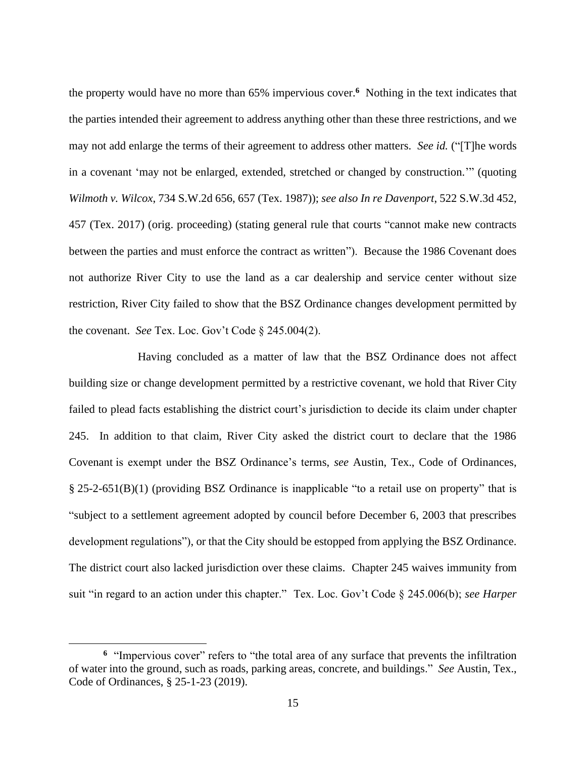the property would have no more than 65% impervious cover.**<sup>6</sup>** Nothing in the text indicates that the parties intended their agreement to address anything other than these three restrictions, and we may not add enlarge the terms of their agreement to address other matters. *See id.* ("[T]he words in a covenant 'may not be enlarged, extended, stretched or changed by construction.'" (quoting *Wilmoth v. Wilcox*, 734 S.W.2d 656, 657 (Tex. 1987)); *see also In re Davenport*, 522 S.W.3d 452, 457 (Tex. 2017) (orig. proceeding) (stating general rule that courts "cannot make new contracts between the parties and must enforce the contract as written"). Because the 1986 Covenant does not authorize River City to use the land as a car dealership and service center without size restriction, River City failed to show that the BSZ Ordinance changes development permitted by the covenant. *See* Tex. Loc. Gov't Code § 245.004(2).

Having concluded as a matter of law that the BSZ Ordinance does not affect building size or change development permitted by a restrictive covenant, we hold that River City failed to plead facts establishing the district court's jurisdiction to decide its claim under chapter 245. In addition to that claim, River City asked the district court to declare that the 1986 Covenant is exempt under the BSZ Ordinance's terms, *see* Austin, Tex., Code of Ordinances, § 25-2-651(B)(1) (providing BSZ Ordinance is inapplicable "to a retail use on property" that is "subject to a settlement agreement adopted by council before December 6, 2003 that prescribes development regulations"), or that the City should be estopped from applying the BSZ Ordinance. The district court also lacked jurisdiction over these claims. Chapter 245 waives immunity from suit "in regard to an action under this chapter." Tex. Loc. Gov't Code § 245.006(b); *see Harper* 

**<sup>6</sup>** "Impervious cover" refers to "the total area of any surface that prevents the infiltration of water into the ground, such as roads, parking areas, concrete, and buildings." *See* Austin, Tex., Code of Ordinances, § 25-1-23 (2019).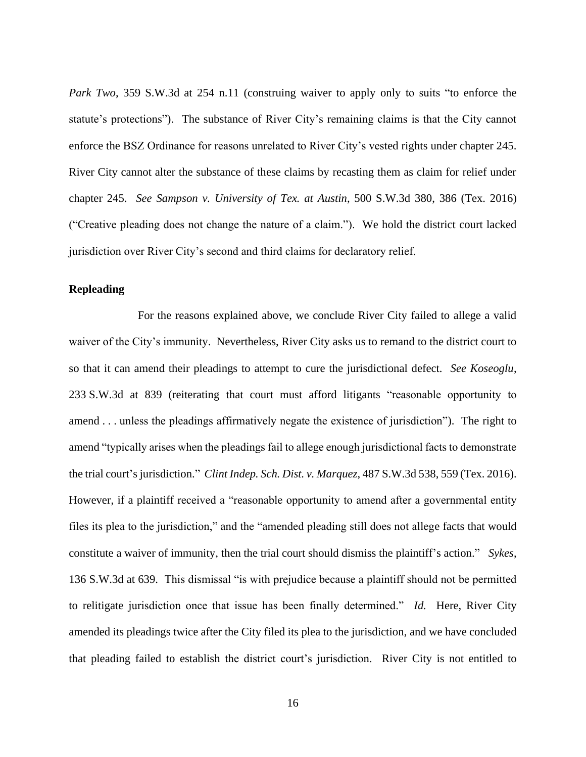*Park Two*, 359 S.W.3d at 254 n.11 (construing waiver to apply only to suits "to enforce the statute's protections"). The substance of River City's remaining claims is that the City cannot enforce the BSZ Ordinance for reasons unrelated to River City's vested rights under chapter 245. River City cannot alter the substance of these claims by recasting them as claim for relief under chapter 245. *See Sampson v. University of Tex. at Austin*, 500 S.W.3d 380, 386 (Tex. 2016) ("Creative pleading does not change the nature of a claim."). We hold the district court lacked jurisdiction over River City's second and third claims for declaratory relief.

### **Repleading**

For the reasons explained above, we conclude River City failed to allege a valid waiver of the City's immunity. Nevertheless, River City asks us to remand to the district court to so that it can amend their pleadings to attempt to cure the jurisdictional defect. *See Koseoglu*, 233 S.W.3d at 839 (reiterating that court must afford litigants "reasonable opportunity to amend . . . unless the pleadings affirmatively negate the existence of jurisdiction"). The right to amend "typically arises when the pleadings fail to allege enough jurisdictional facts to demonstrate the trial court's jurisdiction." *Clint Indep. Sch. Dist. v. Marquez*, 487 S.W.3d 538, 559 (Tex. 2016). However, if a plaintiff received a "reasonable opportunity to amend after a governmental entity files its plea to the jurisdiction," and the "amended pleading still does not allege facts that would constitute a waiver of immunity, then the trial court should dismiss the plaintiff's action." *Sykes*, 136 S.W.3d at 639. This dismissal "is with prejudice because a plaintiff should not be permitted to relitigate jurisdiction once that issue has been finally determined." *Id.* Here, River City amended its pleadings twice after the City filed its plea to the jurisdiction, and we have concluded that pleading failed to establish the district court's jurisdiction. River City is not entitled to